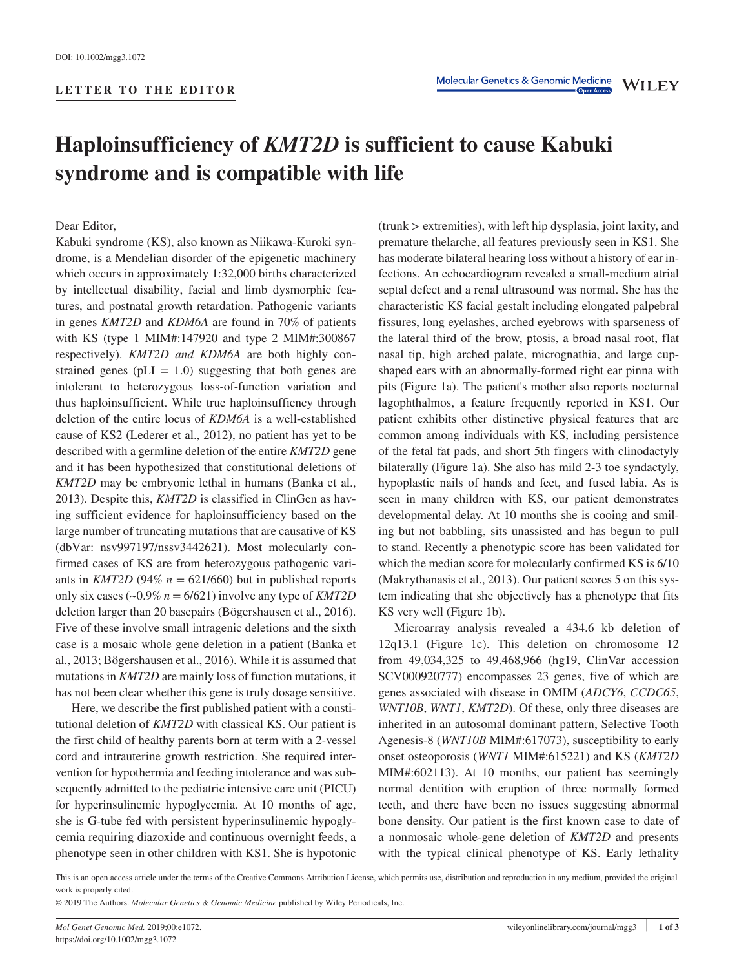# **Haploinsufficiency of** *KMT2D* **is sufficient to cause Kabuki syndrome and is compatible with life**

Dear Editor,

Kabuki syndrome (KS), also known as Niikawa-Kuroki syndrome, is a Mendelian disorder of the epigenetic machinery which occurs in approximately 1:32,000 births characterized by intellectual disability, facial and limb dysmorphic features, and postnatal growth retardation. Pathogenic variants in genes *KMT2D* and *KDM6A* are found in 70% of patients with KS (type 1 MIM#:147920 and type 2 MIM#:300867 respectively). *KMT2D and KDM6A* are both highly constrained genes ( $pLI = 1.0$ ) suggesting that both genes are intolerant to heterozygous loss-of-function variation and thus haploinsufficient. While true haploinsuffiency through deletion of the entire locus of *KDM6A* is a well-established cause of KS2 (Lederer et al., 2012), no patient has yet to be described with a germline deletion of the entire *KMT2D* gene and it has been hypothesized that constitutional deletions of *KMT2D* may be embryonic lethal in humans (Banka et al., 2013). Despite this, *KMT2D* is classified in ClinGen as having sufficient evidence for haploinsufficiency based on the large number of truncating mutations that are causative of KS (dbVar: nsv997197/nssv3442621). Most molecularly confirmed cases of KS are from heterozygous pathogenic variants in *KMT2D* (94%  $n = 621/660$ ) but in published reports only six cases  $(-0.9\% n = 6/621)$  involve any type of *KMT2D* deletion larger than 20 basepairs (Bögershausen et al., 2016). Five of these involve small intragenic deletions and the sixth case is a mosaic whole gene deletion in a patient (Banka et al., 2013; Bögershausen et al., 2016). While it is assumed that mutations in *KMT2D* are mainly loss of function mutations, it has not been clear whether this gene is truly dosage sensitive.

Here, we describe the first published patient with a constitutional deletion of *KMT2D* with classical KS. Our patient is the first child of healthy parents born at term with a 2-vessel cord and intrauterine growth restriction. She required intervention for hypothermia and feeding intolerance and was subsequently admitted to the pediatric intensive care unit (PICU) for hyperinsulinemic hypoglycemia. At 10 months of age, she is G-tube fed with persistent hyperinsulinemic hypoglycemia requiring diazoxide and continuous overnight feeds, a phenotype seen in other children with KS1. She is hypotonic

(trunk > extremities), with left hip dysplasia, joint laxity, and premature thelarche, all features previously seen in KS1. She has moderate bilateral hearing loss without a history of ear infections. An echocardiogram revealed a small-medium atrial septal defect and a renal ultrasound was normal. She has the characteristic KS facial gestalt including elongated palpebral fissures, long eyelashes, arched eyebrows with sparseness of the lateral third of the brow, ptosis, a broad nasal root, flat nasal tip, high arched palate, micrognathia, and large cupshaped ears with an abnormally-formed right ear pinna with pits (Figure 1a). The patient's mother also reports nocturnal lagophthalmos, a feature frequently reported in KS1. Our patient exhibits other distinctive physical features that are common among individuals with KS, including persistence of the fetal fat pads, and short 5th fingers with clinodactyly bilaterally (Figure 1a). She also has mild 2-3 toe syndactyly, hypoplastic nails of hands and feet, and fused labia. As is seen in many children with KS, our patient demonstrates developmental delay. At 10 months she is cooing and smiling but not babbling, sits unassisted and has begun to pull to stand. Recently a phenotypic score has been validated for which the median score for molecularly confirmed KS is 6/10 (Makrythanasis et al., 2013). Our patient scores 5 on this system indicating that she objectively has a phenotype that fits KS very well (Figure 1b).

Microarray analysis revealed a 434.6 kb deletion of 12q13.1 (Figure 1c). This deletion on chromosome 12 from 49,034,325 to 49,468,966 (hg19, ClinVar accession SCV000920777) encompasses 23 genes, five of which are genes associated with disease in OMIM (*ADCY6*, *CCDC65*, *WNT10B*, *WNT1*, *KMT2D*). Of these, only three diseases are inherited in an autosomal dominant pattern, Selective Tooth Agenesis-8 (*WNT10B* MIM#:617073), susceptibility to early onset osteoporosis (*WNT1* MIM#:615221) and KS (*KMT2D* MIM#:602113). At 10 months, our patient has seemingly normal dentition with eruption of three normally formed teeth, and there have been no issues suggesting abnormal bone density. Our patient is the first known case to date of a nonmosaic whole-gene deletion of *KMT2D* and presents with the typical clinical phenotype of KS. Early lethality

This is an open access article under the terms of the [Creative Commons Attribution](http://creativecommons.org/licenses/by/4.0/) License, which permits use, distribution and reproduction in any medium, provided the original work is properly cited.

<sup>© 2019</sup> The Authors. *Molecular Genetics & Genomic Medicine* published by Wiley Periodicals, Inc.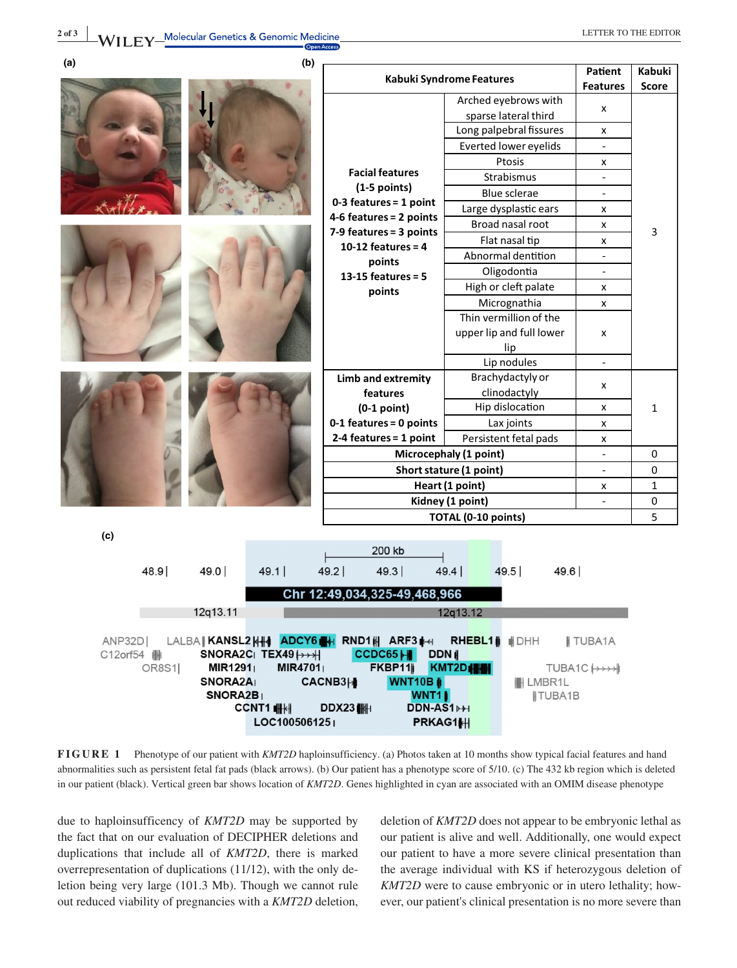| (a)                                                                                                            | (b)                              |                                                                                             |                                            |                                   |                            |
|----------------------------------------------------------------------------------------------------------------|----------------------------------|---------------------------------------------------------------------------------------------|--------------------------------------------|-----------------------------------|----------------------------|
|                                                                                                                |                                  | Kabuki Syndrome Features                                                                    |                                            | <b>Patient</b><br><b>Features</b> | Kabuki                     |
|                                                                                                                |                                  | Arched eyebrows with                                                                        |                                            |                                   | Score                      |
|                                                                                                                |                                  | <b>Facial features</b><br>$(1-5$ points)                                                    | sparse lateral third                       | x                                 | 3                          |
|                                                                                                                |                                  |                                                                                             | Long palpebral fissures                    | x                                 |                            |
|                                                                                                                |                                  |                                                                                             | Everted lower eyelids                      | $\blacksquare$                    |                            |
|                                                                                                                |                                  |                                                                                             | Ptosis                                     | x                                 |                            |
|                                                                                                                |                                  |                                                                                             | Strabismus                                 |                                   |                            |
|                                                                                                                |                                  |                                                                                             | Blue sclerae                               |                                   |                            |
|                                                                                                                |                                  | $0-3$ features = 1 point                                                                    | Large dysplastic ears                      | x                                 |                            |
|                                                                                                                |                                  | 4-6 features = 2 points                                                                     | Broad nasal root                           | x                                 |                            |
|                                                                                                                |                                  | 7-9 features = 3 points<br>10-12 features = $4$<br>points<br>13-15 features = $5$<br>points | Flat nasal tip                             | X                                 |                            |
|                                                                                                                |                                  |                                                                                             | Abnormal dentition                         |                                   |                            |
|                                                                                                                |                                  |                                                                                             | Oligodontia                                |                                   |                            |
|                                                                                                                |                                  |                                                                                             | High or cleft palate                       | x                                 |                            |
|                                                                                                                |                                  |                                                                                             | Micrognathia                               | X                                 |                            |
|                                                                                                                |                                  |                                                                                             | Thin vermillion of the                     |                                   |                            |
|                                                                                                                |                                  |                                                                                             | upper lip and full lower                   | x                                 |                            |
|                                                                                                                |                                  |                                                                                             | lip                                        |                                   |                            |
|                                                                                                                |                                  |                                                                                             | Lip nodules                                | $\mathbb{Z}^+$                    |                            |
|                                                                                                                |                                  | Limb and extremity                                                                          | Brachydactyly or                           | x                                 |                            |
|                                                                                                                |                                  | features                                                                                    | clinodactyly                               |                                   |                            |
|                                                                                                                |                                  | $(0-1$ point)                                                                               | Hip dislocation                            | x                                 | 1                          |
|                                                                                                                |                                  | 0-1 features = 0 points                                                                     | Lax joints                                 | x                                 |                            |
|                                                                                                                |                                  | 2-4 features = 1 point                                                                      | Persistent fetal pads                      | x                                 |                            |
|                                                                                                                |                                  | Microcephaly (1 point)                                                                      |                                            |                                   | $\mathbf 0$<br>$\mathbf 0$ |
|                                                                                                                |                                  |                                                                                             | Short stature (1 point)<br>Heart (1 point) |                                   | $\mathbf{1}$               |
|                                                                                                                |                                  | Kidney (1 point)                                                                            |                                            | x<br>$\overline{\phantom{a}}$     | 0                          |
|                                                                                                                |                                  | TOTAL (0-10 points)                                                                         |                                            |                                   | 5                          |
|                                                                                                                |                                  |                                                                                             |                                            |                                   |                            |
| (c)                                                                                                            |                                  |                                                                                             |                                            |                                   |                            |
|                                                                                                                |                                  | 200 kb                                                                                      |                                            |                                   |                            |
| 48.9                                                                                                           | 49.0<br>49.1                     | 49.2 <br>49.3                                                                               | 49.4<br>49.5<br>49.6                       |                                   |                            |
| Chr 12:49,034,325-49,468,966                                                                                   |                                  |                                                                                             |                                            |                                   |                            |
| 12q13.11<br>12q13.12                                                                                           |                                  |                                                                                             |                                            |                                   |                            |
|                                                                                                                |                                  |                                                                                             |                                            |                                   |                            |
| LALBA KANSL2 <b>k#4 <mark>adcy6#</mark># rnd1# arf3</b> # <del>4</del> Rhebl1  #DHH<br><b>TUBA1A</b><br>ANP32D |                                  |                                                                                             |                                            |                                   |                            |
| SNORA2C $TEX49 \mapsto H$<br>CCDC65H DDN<br>C12orf54                                                           |                                  |                                                                                             |                                            |                                   |                            |
| OR8S1                                                                                                          | <b>MIR1291</b><br><b>MIR4701</b> | FKBP11<br>KMT2DHH                                                                           |                                            | TUBA1C   > > > > +                |                            |
| SNORA2A<br><b>WNT10B</b><br>CACNB3H<br><b>HLMBR1L</b><br>SNORA2B <sub>1</sub><br><b>WNT11</b>                  |                                  |                                                                                             |                                            |                                   |                            |
|                                                                                                                | CCNT1 HH                         | DDX23 $\parallel$<br>DDN-AS1 <b>PH</b>                                                      | ∥TUBA1B                                    |                                   |                            |
|                                                                                                                | LOC1005061251                    | PRKAG1H                                                                                     |                                            |                                   |                            |

**FIGURE 1** Phenotype of our patient with *KMT2D* haploinsufficiency. (a) Photos taken at 10 months show typical facial features and hand abnormalities such as persistent fetal fat pads (black arrows). (b) Our patient has a phenotype score of 5/10. (c) The 432 kb region which is deleted in our patient (black). Vertical green bar shows location of *KMT2D*. Genes highlighted in cyan are associated with an OMIM disease phenotype

due to haploinsufficency of *KMT2D* may be supported by the fact that on our evaluation of DECIPHER deletions and duplications that include all of *KMT2D*, there is marked overrepresentation of duplications (11/12), with the only deletion being very large (101.3 Mb). Though we cannot rule out reduced viability of pregnancies with a *KMT2D* deletion,

deletion of *KMT2D* does not appear to be embryonic lethal as our patient is alive and well. Additionally, one would expect our patient to have a more severe clinical presentation than the average individual with KS if heterozygous deletion of *KMT2D* were to cause embryonic or in utero lethality; however, our patient's clinical presentation is no more severe than